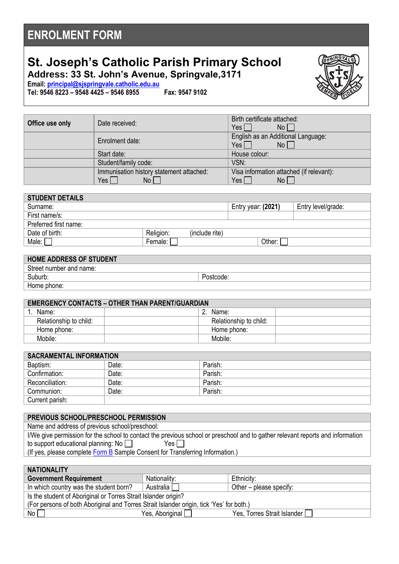# **ENROLMENT FORM**

# **St. Joseph's Catholic Parish Primary School Address: 33 St. John's Avenue, Springvale,3171**

**Email[: principal@sjspringvale.catholic.edu.au](mailto:principal@sjspringvale.catholic.edu.au)**

**Tel: 9546 8223 – 9548 4425 – 9546 8955 Fax: 9547 9102**



| Office use only | Date received:                                                                  | Birth certificate attached:<br>Yes $\Box$<br>$No \Box$                      |
|-----------------|---------------------------------------------------------------------------------|-----------------------------------------------------------------------------|
|                 | Enrolment date:                                                                 | English as an Additional Language:<br>No <sub>l</sub><br>Yes $\Box$         |
|                 | Start date:                                                                     | House colour:                                                               |
|                 | Student/family code:                                                            | VSN:                                                                        |
|                 | Immunisation history statement attached:<br>Yes <sub>1</sub><br>No <sub>1</sub> | Visa information attached (if relevant):<br>Yes $\lceil$<br>No <sub>1</sub> |

| <b>STUDENT DETAILS</b> |           |                |                    |                    |
|------------------------|-----------|----------------|--------------------|--------------------|
| Surname:               |           |                | Entry year: (2021) | Entry level/grade: |
| First name/s:          |           |                |                    |                    |
| Preferred first name:  |           |                |                    |                    |
| Date of birth:         | Religion: | (include rite) |                    |                    |
| Male:                  | Female: [ |                | Other:             |                    |
|                        |           |                |                    |                    |

| <b>HOME ADDRESS OF STUDENT</b> |           |
|--------------------------------|-----------|
| Street number and name:        |           |
| Suburb:                        | Postcode: |
| Home phone:                    |           |

| <b>EMERGENCY CONTACTS - OTHER THAN PARENT/GUARDIAN</b> |  |                        |  |
|--------------------------------------------------------|--|------------------------|--|
| Name:                                                  |  | Name:                  |  |
| Relationship to child:                                 |  | Relationship to child: |  |
| Home phone:                                            |  | Home phone:            |  |
| Mobile:                                                |  | Mobile:                |  |

| <b>SACRAMENTAL INFORMATION</b> |       |         |  |
|--------------------------------|-------|---------|--|
| Baptism:                       | Date: | Parish: |  |
| Confirmation:                  | Date: | Parish: |  |
| Reconciliation:                | Date: | Parish: |  |
| Communion:                     | Date: | Parish: |  |
| Current parish:                |       |         |  |

| PREVIOUS SCHOOL/PRESCHOOL PERMISSION                                                                                           |
|--------------------------------------------------------------------------------------------------------------------------------|
|                                                                                                                                |
| Name and address of previous school/preschool:                                                                                 |
|                                                                                                                                |
| I/We give permission for the school to contact the previous school or preschool and to gather relevant reports and information |
| to support educational planning: No<br>Yes $\Box$                                                                              |
| (If yes, please complete Form B Sample Consent for Transferring Information.)                                                  |
|                                                                                                                                |

| <b>NATIONALITY</b> |  |
|--------------------|--|
|                    |  |

| <b>Government Requirement</b>                                                            | Nationality:    | Ethnicity:                  |  |  |
|------------------------------------------------------------------------------------------|-----------------|-----------------------------|--|--|
| In which country was the student born?                                                   | Australia       | Other – please specify:     |  |  |
| Is the student of Aboriginal or Torres Strait Islander origin?                           |                 |                             |  |  |
| (For persons of both Aboriginal and Torres Strait Islander origin, tick 'Yes' for both.) |                 |                             |  |  |
| No <sub>1</sub>                                                                          | Yes, Aboriginal | Yes, Torres Strait Islander |  |  |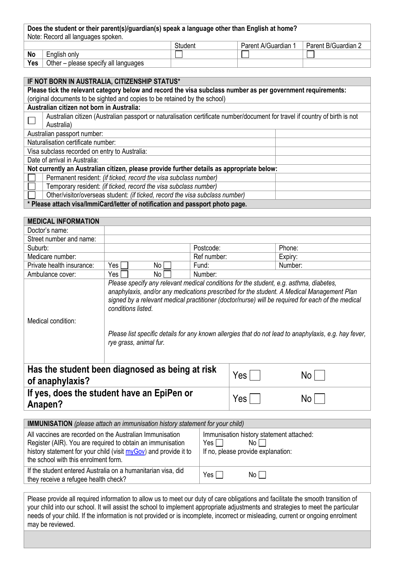|           | Does the student or their parent(s)/guardian(s) speak a language other than English at home?<br>Note: Record all languages spoken. |         |                     |                     |
|-----------|------------------------------------------------------------------------------------------------------------------------------------|---------|---------------------|---------------------|
|           |                                                                                                                                    | Student | Parent A/Guardian 1 | Parent B/Guardian 2 |
| <b>No</b> | English only                                                                                                                       |         |                     |                     |
| Yes       | Other – please specify all languages                                                                                               |         |                     |                     |
|           |                                                                                                                                    |         |                     |                     |

| IF NOT BORN IN AUSTRALIA, CITIZENSHIP STATUS*                                                                               |  |  |  |
|-----------------------------------------------------------------------------------------------------------------------------|--|--|--|
| Please tick the relevant category below and record the visa subclass number as per government requirements:                 |  |  |  |
| (original documents to be sighted and copies to be retained by the school)                                                  |  |  |  |
| Australian citizen not born in Australia:                                                                                   |  |  |  |
| Australian citizen (Australian passport or naturalisation certificate number/document for travel if country of birth is not |  |  |  |
| Australia)                                                                                                                  |  |  |  |
| Australian passport number:                                                                                                 |  |  |  |
| Naturalisation certificate number:                                                                                          |  |  |  |
| Visa subclass recorded on entry to Australia:                                                                               |  |  |  |
| Date of arrival in Australia:                                                                                               |  |  |  |
| Not currently an Australian citizen, please provide further details as appropriate below:                                   |  |  |  |
| Permanent resident: (if ticked, record the visa subclass number)                                                            |  |  |  |
| Temporary resident: (if ticked, record the visa subclass number)                                                            |  |  |  |
| Other/visitor/overseas student: (if ticked, record the visa subclass number)                                                |  |  |  |
| * Please attach visa/ImmiCard/letter of notification and passport photo page.                                               |  |  |  |

| <b>MEDICAL INFORMATION</b>                                                          |                                                                                                                                                                                                                                                                                                                                                                                                                                                   |             |  |         |
|-------------------------------------------------------------------------------------|---------------------------------------------------------------------------------------------------------------------------------------------------------------------------------------------------------------------------------------------------------------------------------------------------------------------------------------------------------------------------------------------------------------------------------------------------|-------------|--|---------|
| Doctor's name:                                                                      |                                                                                                                                                                                                                                                                                                                                                                                                                                                   |             |  |         |
| Street number and name:                                                             |                                                                                                                                                                                                                                                                                                                                                                                                                                                   |             |  |         |
| Suburb:                                                                             |                                                                                                                                                                                                                                                                                                                                                                                                                                                   | Postcode:   |  | Phone:  |
| Medicare number:                                                                    |                                                                                                                                                                                                                                                                                                                                                                                                                                                   | Ref number: |  | Expiry: |
| Private health insurance:                                                           | Yes<br>No                                                                                                                                                                                                                                                                                                                                                                                                                                         | Fund:       |  | Number: |
| Ambulance cover:                                                                    | Yes<br>No <sub>1</sub>                                                                                                                                                                                                                                                                                                                                                                                                                            | Number:     |  |         |
| Medical condition:                                                                  | Please specify any relevant medical conditions for the student, e.g. asthma, diabetes,<br>anaphylaxis, and/or any medications prescribed for the student. A Medical Management Plan<br>signed by a relevant medical practitioner (doctor/nurse) will be required for each of the medical<br>conditions listed.<br>Please list specific details for any known allergies that do not lead to anaphylaxis, e.g. hay fever,<br>rye grass, animal fur. |             |  |         |
| Has the student been diagnosed as being at risk<br>Yes  <br>No l<br>of anaphylaxis? |                                                                                                                                                                                                                                                                                                                                                                                                                                                   |             |  |         |
| If yes, does the student have an EpiPen or<br>Anapen?                               |                                                                                                                                                                                                                                                                                                                                                                                                                                                   | Yes         |  | No.     |

| <b>IMMUNISATION</b> (please attach an immunisation history statement for your child) |                                          |  |  |
|--------------------------------------------------------------------------------------|------------------------------------------|--|--|
| All vaccines are recorded on the Australian Immunisation                             | Immunisation history statement attached: |  |  |
| Register (AIR). You are required to obtain an immunisation                           | Yes $\Box$                               |  |  |
| history statement for your child (visit myGov) and provide it to                     | Noll                                     |  |  |
| the school with this enrolment form.                                                 | If no, please provide explanation:       |  |  |
| If the student entered Australia on a humanitarian visa, did                         | Yes I                                    |  |  |
| they receive a refugee health check?                                                 | Noll                                     |  |  |

Please provide all required information to allow us to meet our duty of care obligations and facilitate the smooth transition of your child into our school. It will assist the school to implement appropriate adjustments and strategies to meet the particular needs of your child. If the information is not provided or is incomplete, incorrect or misleading, current or ongoing enrolment may be reviewed.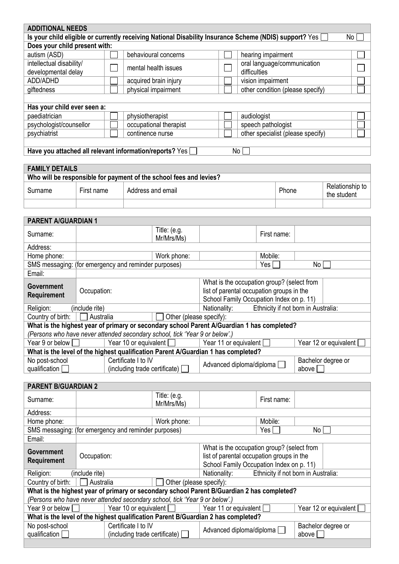| <b>ADDITIONAL NEEDS</b>                                       |  |                        |  |                                                                                                        |                 |  |
|---------------------------------------------------------------|--|------------------------|--|--------------------------------------------------------------------------------------------------------|-----------------|--|
|                                                               |  |                        |  | Is your child eligible or currently receiving National Disability Insurance Scheme (NDIS) support? Yes | No <sub>1</sub> |  |
| Does your child present with:                                 |  |                        |  |                                                                                                        |                 |  |
| autism (ASD)                                                  |  | behavioural concerns   |  | hearing impairment                                                                                     |                 |  |
| intellectual disability/                                      |  | mental health issues   |  | oral language/communication                                                                            |                 |  |
| developmental delay                                           |  |                        |  | difficulties                                                                                           |                 |  |
| ADD/ADHD                                                      |  | acquired brain injury  |  | vision impairment                                                                                      |                 |  |
| giftedness                                                    |  | physical impairment    |  | other condition (please specify)                                                                       |                 |  |
|                                                               |  |                        |  |                                                                                                        |                 |  |
| Has your child ever seen a:                                   |  |                        |  |                                                                                                        |                 |  |
| paediatrician                                                 |  | physiotherapist        |  | audiologist                                                                                            |                 |  |
| psychologist/counsellor                                       |  | occupational therapist |  | speech pathologist                                                                                     |                 |  |
| psychiatrist                                                  |  | continence nurse       |  | other specialist (please specify)                                                                      |                 |  |
|                                                               |  |                        |  |                                                                                                        |                 |  |
| Have you attached all relevant information/reports? Yes<br>No |  |                        |  |                                                                                                        |                 |  |

п

| <b>FAMILY DETAILS</b>                                              |            |                   |       |                                |  |  |
|--------------------------------------------------------------------|------------|-------------------|-------|--------------------------------|--|--|
| Who will be responsible for payment of the school fees and levies? |            |                   |       |                                |  |  |
| Surname                                                            | First name | Address and email | Phone | Relationship to<br>the student |  |  |
|                                                                    |            |                   |       |                                |  |  |

| <b>PARENT A/GUARDIAN 1</b>                                                        |                                                                                            |                                            |             |                                     |
|-----------------------------------------------------------------------------------|--------------------------------------------------------------------------------------------|--------------------------------------------|-------------|-------------------------------------|
| Surname:                                                                          | Title: (e.g.<br>Mr/Mrs/Ms)                                                                 |                                            | First name: |                                     |
| Address:                                                                          |                                                                                            |                                            |             |                                     |
| Home phone:                                                                       |                                                                                            | Work phone:                                | Mobile:     |                                     |
|                                                                                   | SMS messaging: (for emergency and reminder purposes)                                       |                                            | Yes         | No l                                |
| Email:                                                                            |                                                                                            |                                            |             |                                     |
| <b>Government</b>                                                                 |                                                                                            | What is the occupation group? (select from |             |                                     |
| Requirement                                                                       | Occupation:                                                                                | list of parental occupation groups in the  |             |                                     |
|                                                                                   |                                                                                            | School Family Occupation Index on p. 11)   |             |                                     |
| Religion:                                                                         | (include rite)                                                                             | Nationality:                               |             | Ethnicity if not born in Australia: |
| Country of birth:                                                                 | Australia                                                                                  | Other (please specify):                    |             |                                     |
|                                                                                   | What is the highest year of primary or secondary school Parent A/Guardian 1 has completed? |                                            |             |                                     |
| (Persons who have never attended secondary school, tick 'Year 9 or below'.)       |                                                                                            |                                            |             |                                     |
| Year 10 or equivalent $\Box$<br>Year 9 or below [11]                              |                                                                                            | Year 11 or equivalent [                    |             | Year 12 or equivalent               |
| What is the level of the highest qualification Parent A/Guardian 1 has completed? |                                                                                            |                                            |             |                                     |
| No post-school                                                                    | Certificate I to IV                                                                        | Advanced diploma/diploma                   |             | Bachelor degree or                  |
| qualification $\Box$                                                              | (including trade certificate)                                                              |                                            |             | above                               |

| <b>PARENT B/GUARDIAN 2</b>                                                        |                                                                                            |                                                                                                                                     |                                     |  |
|-----------------------------------------------------------------------------------|--------------------------------------------------------------------------------------------|-------------------------------------------------------------------------------------------------------------------------------------|-------------------------------------|--|
| Surname:                                                                          | Title: (e.g.<br>Mr/Mrs/Ms)                                                                 | First name:                                                                                                                         |                                     |  |
| Address:                                                                          |                                                                                            |                                                                                                                                     |                                     |  |
| Home phone:                                                                       | Work phone:                                                                                | Mobile:                                                                                                                             |                                     |  |
|                                                                                   | SMS messaging: (for emergency and reminder purposes)                                       | Yes $\Box$                                                                                                                          | No l                                |  |
| Email:                                                                            |                                                                                            |                                                                                                                                     |                                     |  |
| <b>Government</b><br>Requirement                                                  | Occupation:                                                                                | What is the occupation group? (select from<br>list of parental occupation groups in the<br>School Family Occupation Index on p. 11) |                                     |  |
| Religion:                                                                         | (include rite)                                                                             | Nationality:                                                                                                                        | Ethnicity if not born in Australia: |  |
| Country of birth:                                                                 | Other (please specify):<br>Australia                                                       |                                                                                                                                     |                                     |  |
|                                                                                   | What is the highest year of primary or secondary school Parent B/Guardian 2 has completed? |                                                                                                                                     |                                     |  |
|                                                                                   | (Persons who have never attended secondary school, tick 'Year 9 or below'.)                |                                                                                                                                     |                                     |  |
| Year 9 or below $\Box$                                                            | Year 10 or equivalent $\Box$                                                               | Year 11 or equivalent                                                                                                               | Year 12 or equivalent [             |  |
| What is the level of the highest qualification Parent B/Guardian 2 has completed? |                                                                                            |                                                                                                                                     |                                     |  |
| No post-school<br>qualification $\Box$                                            | Certificate I to IV<br>(including trade certificate) $\sqrt{\phantom{a}}$                  | Advanced diploma/diploma                                                                                                            | Bachelor degree or<br>above         |  |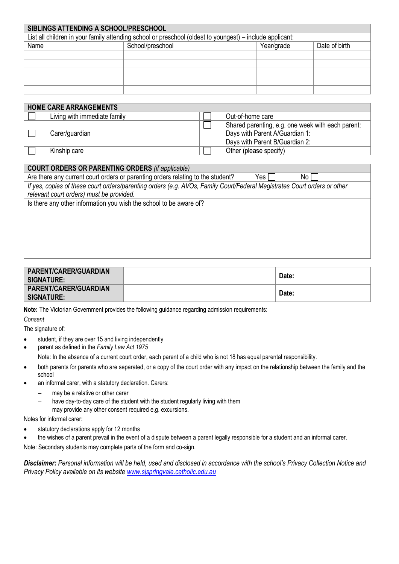| SIBLINGS ATTENDING A SCHOOL/PRESCHOOL |                                                                                                          |            |               |  |  |
|---------------------------------------|----------------------------------------------------------------------------------------------------------|------------|---------------|--|--|
|                                       | List all children in your family attending school or preschool (oldest to youngest) – include applicant: |            |               |  |  |
| Name                                  | School/preschool                                                                                         | Year/grade | Date of birth |  |  |
|                                       |                                                                                                          |            |               |  |  |
|                                       |                                                                                                          |            |               |  |  |
|                                       |                                                                                                          |            |               |  |  |
|                                       |                                                                                                          |            |               |  |  |
|                                       |                                                                                                          |            |               |  |  |

| <b>HOME CARE ARRANGEMENTS</b> |                              |  |                                                   |  |
|-------------------------------|------------------------------|--|---------------------------------------------------|--|
|                               | Living with immediate family |  | Out-of-home care                                  |  |
|                               |                              |  | Shared parenting, e.g. one week with each parent: |  |
|                               | Carer/guardian               |  | Days with Parent A/Guardian 1:                    |  |
|                               |                              |  | Days with Parent B/Guardian 2:                    |  |
|                               | Kinship care                 |  | Other (please specify)                            |  |

| <b>COURT ORDERS OR PARENTING ORDERS (if applicable)</b>                                                                                                              |
|----------------------------------------------------------------------------------------------------------------------------------------------------------------------|
| Are there any current court orders or parenting orders relating to the student?<br>Yes l<br>No l                                                                     |
| If yes, copies of these court orders/parenting orders (e.g. AVOs, Family Court/Federal Magistrates Court orders or other<br>relevant court orders) must be provided. |
| Is there any other information you wish the school to be aware of?                                                                                                   |
|                                                                                                                                                                      |
|                                                                                                                                                                      |
|                                                                                                                                                                      |
|                                                                                                                                                                      |
|                                                                                                                                                                      |

| <b>PARENT/CARER/GUARDIAN</b><br><b>SIGNATURE:</b> | Date: |
|---------------------------------------------------|-------|
| <b>PARENT/CARER/GUARDIAN</b><br>SIGNATURE:        | Date: |

**Note:** The Victorian Government provides the following guidance regarding admission requirements:

### *Consent*

The signature of:

- student, if they are over 15 and living independently
- parent as defined in the *Family Law Act 1975*

Note: In the absence of a current court order, each parent of a child who is not 18 has equal parental responsibility.

- both parents for parents who are separated, or a copy of the court order with any impact on the relationship between the family and the school
- an informal carer, with a statutory declaration. Carers:
	- may be a relative or other carer
	- have day-to-day care of the student with the student regularly living with them
	- may provide any other consent required e.g. excursions.

Notes for informal carer:

- statutory declarations apply for 12 months
- the wishes of a parent prevail in the event of a dispute between a parent legally responsible for a student and an informal carer.

Note: Secondary students may complete parts of the form and co-sign.

*Disclaimer: Personal information will be held, used and disclosed in accordance with the school's Privacy Collection Notice and Privacy Policy available on its website [www.sjspringvale.catholic.edu.au](http://www.sjspringvale.catholic.edu.au/)*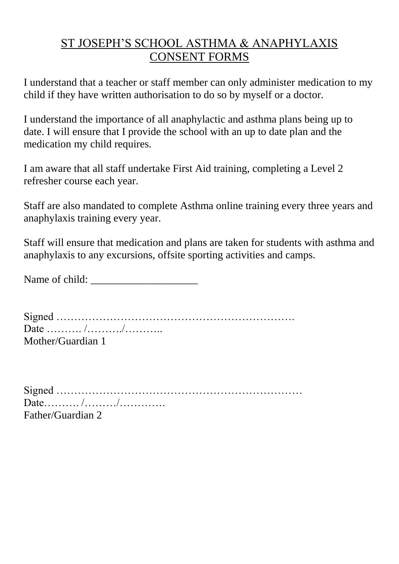# ST JOSEPH'S SCHOOL ASTHMA & ANAPHYLAXIS CONSENT FORMS

I understand that a teacher or staff member can only administer medication to my child if they have written authorisation to do so by myself or a doctor.

I understand the importance of all anaphylactic and asthma plans being up to date. I will ensure that I provide the school with an up to date plan and the medication my child requires.

I am aware that all staff undertake First Aid training, completing a Level 2 refresher course each year.

Staff are also mandated to complete Asthma online training every three years and anaphylaxis training every year.

Staff will ensure that medication and plans are taken for students with asthma and anaphylaxis to any excursions, offsite sporting activities and camps.

Name of child: \_\_\_\_\_\_\_\_\_\_\_\_\_\_\_\_\_\_\_\_

Signed …………………………………………………………. Date ………. /………. /………… Mother/Guardian 1

Signed …………………………………………………………… Date………. /………/…………. Father/Guardian 2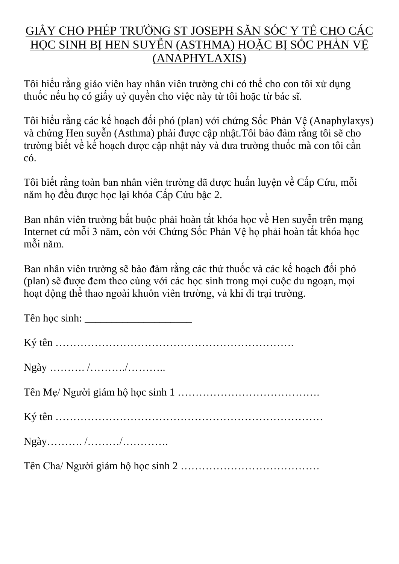# GIẤY CHO PHÉP TRƯỜNG ST JOSEPH SĂN SÓC Y TẾ CHO CÁC HỌC SINH BỊ HEN SUYỄN (ASTHMA) HOẶC BỊ SỐC PHẢN VỆ (ANAPHYLAXIS)

Tôi hiểu rằng giáo viên hay nhân viên trường chỉ có thể cho con tôi xử dụng thuốc nếu họ có giấy uỷ quyền cho việc này từ tôi hoặc từ bác sĩ.

Tôi hiểu rằng các kế hoạch đối phó (plan) với chứng Sốc Phản Vệ (Anaphylaxys) và chứng Hen suyễn (Asthma) phải được cập nhật.Tôi bảo đảm rằng tôi sẽ cho trường biết về kế hoạch được cập nhật này và đưa trường thuốc mà con tôi cần có.

Tôi biết rằng toàn ban nhân viên trường đã được huấn luyện về Cấp Cứu, mỗi năm họ đều được học lại khóa Cấp Cứu bậc 2.

Ban nhân viên trường bắt buộc phải hoàn tất khóa học về Hen suyễn trên mạng Internet cứ mỗi 3 năm, còn với Chứng Sốc Phản Vệ họ phải hoàn tất khóa học mỗi năm.

Ban nhân viên trường sẽ bảo đảm rằng các thứ thuốc và các kế hoạch đối phó (plan) sẽ được đem theo cùng với các học sinh trong mọi cuộc du ngoạn, mọi hoạt động thể thao ngoài khuôn viên trường, và khi đi trại trường.

Tên học sinh:

Ký tên ………………………………………………………….

Ngày ………. /………./………..

Tên Mẹ/ Người giám hộ học sinh 1 ………………………………….

Ký tên …………………………………………………………………

Ngày………. /………/………….

Tên Cha/ Người giám hộ học sinh 2 …………………………………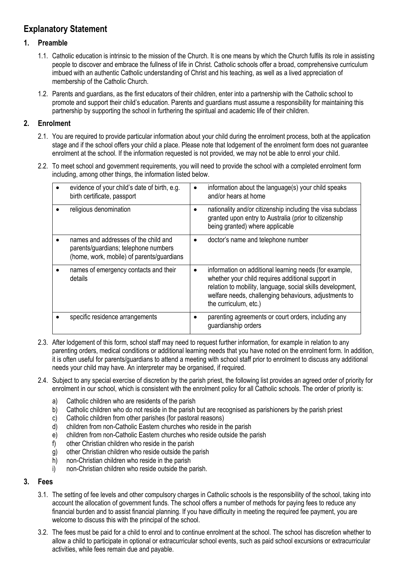## **Explanatory Statement**

### **1. Preamble**

- 1.1. Catholic education is intrinsic to the mission of the Church. It is one means by which the Church fulfils its role in assisting people to discover and embrace the fullness of life in Christ. Catholic schools offer a broad, comprehensive curriculum imbued with an authentic Catholic understanding of Christ and his teaching, as well as a lived appreciation of membership of the Catholic Church.
- 1.2. Parents and guardians, as the first educators of their children, enter into a partnership with the Catholic school to promote and support their child's education. Parents and guardians must assume a responsibility for maintaining this partnership by supporting the school in furthering the spiritual and academic life of their children.

### **2. Enrolment**

- 2.1. You are required to provide particular information about your child during the enrolment process, both at the application stage and if the school offers your child a place. Please note that lodgement of the enrolment form does not guarantee enrolment at the school. If the information requested is not provided, we may not be able to enrol your child.
- 2.2. To meet school and government requirements, you will need to provide the school with a completed enrolment form including, among other things, the information listed below.

| evidence of your child's date of birth, e.g.<br>birth certificate, passport                                               | $\bullet$ | information about the language(s) your child speaks<br>and/or hears at home                                                                                                                                                                                 |
|---------------------------------------------------------------------------------------------------------------------------|-----------|-------------------------------------------------------------------------------------------------------------------------------------------------------------------------------------------------------------------------------------------------------------|
| religious denomination                                                                                                    |           | nationality and/or citizenship including the visa subclass<br>granted upon entry to Australia (prior to citizenship<br>being granted) where applicable                                                                                                      |
| names and addresses of the child and<br>parents/guardians; telephone numbers<br>(home, work, mobile) of parents/guardians | ٠         | doctor's name and telephone number                                                                                                                                                                                                                          |
| names of emergency contacts and their<br>details                                                                          | ٠         | information on additional learning needs (for example,<br>whether your child requires additional support in<br>relation to mobility, language, social skills development,<br>welfare needs, challenging behaviours, adjustments to<br>the curriculum, etc.) |
| specific residence arrangements                                                                                           | ٠         | parenting agreements or court orders, including any<br>guardianship orders                                                                                                                                                                                  |

- 2.3. After lodgement of this form, school staff may need to request further information, for example in relation to any parenting orders, medical conditions or additional learning needs that you have noted on the enrolment form. In addition, it is often useful for parents/guardians to attend a meeting with school staff prior to enrolment to discuss any additional needs your child may have. An interpreter may be organised, if required.
- 2.4. Subject to any special exercise of discretion by the parish priest, the following list provides an agreed order of priority for enrolment in our school, which is consistent with the enrolment policy for all Catholic schools. The order of priority is:
	- a) Catholic children who are residents of the parish
	- b) Catholic children who do not reside in the parish but are recognised as parishioners by the parish priest
	- c) Catholic children from other parishes (for pastoral reasons)
	- d) children from non-Catholic Eastern churches who reside in the parish
	- e) children from non-Catholic Eastern churches who reside outside the parish
	- f) other Christian children who reside in the parish
	- g) other Christian children who reside outside the parish
	- h) non-Christian children who reside in the parish
	- i) non-Christian children who reside outside the parish.

### **3. Fees**

- 3.1. The setting of fee levels and other compulsory charges in Catholic schools is the responsibility of the school, taking into account the allocation of government funds. The school offers a number of methods for paying fees to reduce any financial burden and to assist financial planning. If you have difficulty in meeting the required fee payment, you are welcome to discuss this with the principal of the school.
- 3.2. The fees must be paid for a child to enrol and to continue enrolment at the school. The school has discretion whether to allow a child to participate in optional or extracurricular school events, such as paid school excursions or extracurricular activities, while fees remain due and payable.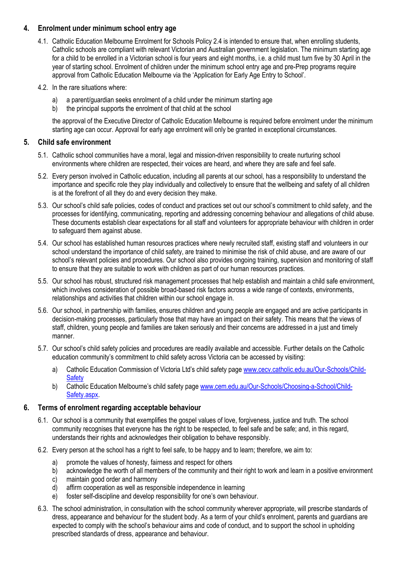### **4. Enrolment under minimum school entry age**

- 4.1. Catholic Education Melbourne Enrolment for Schools Policy 2.4 is intended to ensure that, when enrolling students, Catholic schools are compliant with relevant Victorian and Australian government legislation. The minimum starting age for a child to be enrolled in a Victorian school is four years and eight months, i.e. a child must turn five by 30 April in the year of starting school. Enrolment of children under the minimum school entry age and pre-Prep programs require approval from Catholic Education Melbourne via the 'Application for Early Age Entry to School'.
- 4.2. In the rare situations where:
	- a) a parent/guardian seeks enrolment of a child under the minimum starting age
	- b) the principal supports the enrolment of that child at the school

the approval of the Executive Director of Catholic Education Melbourne is required before enrolment under the minimum starting age can occur. Approval for early age enrolment will only be granted in exceptional circumstances.

### **5. Child safe environment**

- 5.1. Catholic school communities have a moral, legal and mission-driven responsibility to create nurturing school environments where children are respected, their voices are heard, and where they are safe and feel safe.
- 5.2. Every person involved in Catholic education, including all parents at our school, has a responsibility to understand the importance and specific role they play individually and collectively to ensure that the wellbeing and safety of all children is at the forefront of all they do and every decision they make.
- 5.3. Our school's child safe policies, codes of conduct and practices set out our school's commitment to child safety, and the processes for identifying, communicating, reporting and addressing concerning behaviour and allegations of child abuse. These documents establish clear expectations for all staff and volunteers for appropriate behaviour with children in order to safeguard them against abuse.
- 5.4. Our school has established human resources practices where newly recruited staff, existing staff and volunteers in our school understand the importance of child safety, are trained to minimise the risk of child abuse, and are aware of our school's relevant policies and procedures. Our school also provides ongoing training, supervision and monitoring of staff to ensure that they are suitable to work with children as part of our human resources practices.
- 5.5. Our school has robust, structured risk management processes that help establish and maintain a child safe environment, which involves consideration of possible broad-based risk factors across a wide range of contexts, environments, relationships and activities that children within our school engage in.
- 5.6. Our school, in partnership with families, ensures children and young people are engaged and are active participants in decision-making processes, particularly those that may have an impact on their safety. This means that the views of staff, children, young people and families are taken seriously and their concerns are addressed in a just and timely manner.
- 5.7. Our school's child safety policies and procedures are readily available and accessible. Further details on the Catholic education community's commitment to child safety across Victoria can be accessed by visiting:
	- a) Catholic Education Commission of Victoria Ltd's child safety pag[e www.cecv.catholic.edu.au/Our-Schools/Child-](http://www.cecv.catholic.edu.au/Our-Schools/Child-Safety)**[Safety](http://www.cecv.catholic.edu.au/Our-Schools/Child-Safety)**
	- b) Catholic Education Melbourne's child safety page [www.cem.edu.au/Our-Schools/Choosing-a-School/Child-](https://www.cem.edu.au/Our-Schools/Choosing-a-School/Child-Safety.aspx)Safety.aspx

### **6. Terms of enrolment regarding acceptable behaviour**

- 6.1. Our school is a community that exemplifies the gospel values of love, forgiveness, justice and truth. The school community recognises that everyone has the right to be respected, to feel safe and be safe; and, in this regard, understands their rights and acknowledges their obligation to behave responsibly.
- 6.2. Every person at the school has a right to feel safe, to be happy and to learn; therefore, we aim to:
	- a) promote the values of honesty, fairness and respect for others
	- b) acknowledge the worth of all members of the community and their right to work and learn in a positive environment
	- c) maintain good order and harmony
	- d) affirm cooperation as well as responsible independence in learning
	- e) foster self-discipline and develop responsibility for one's own behaviour.
- 6.3. The school administration, in consultation with the school community wherever appropriate, will prescribe standards of dress, appearance and behaviour for the student body. As a term of your child's enrolment, parents and guardians are expected to comply with the school's behaviour aims and code of conduct, and to support the school in upholding prescribed standards of dress, appearance and behaviour.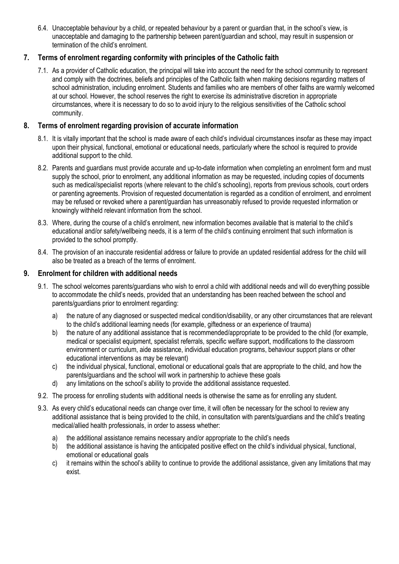6.4. Unacceptable behaviour by a child, or repeated behaviour by a parent or guardian that, in the school's view, is unacceptable and damaging to the partnership between parent/guardian and school, may result in suspension or termination of the child's enrolment.

### **7. Terms of enrolment regarding conformity with principles of the Catholic faith**

7.1. As a provider of Catholic education, the principal will take into account the need for the school community to represent and comply with the doctrines, beliefs and principles of the Catholic faith when making decisions regarding matters of school administration, including enrolment. Students and families who are members of other faiths are warmly welcomed at our school. However, the school reserves the right to exercise its administrative discretion in appropriate circumstances, where it is necessary to do so to avoid injury to the religious sensitivities of the Catholic school community.

### **8. Terms of enrolment regarding provision of accurate information**

- 8.1. It is vitally important that the school is made aware of each child's individual circumstances insofar as these may impact upon their physical, functional, emotional or educational needs, particularly where the school is required to provide additional support to the child.
- 8.2. Parents and guardians must provide accurate and up-to-date information when completing an enrolment form and must supply the school, prior to enrolment, any additional information as may be requested, including copies of documents such as medical/specialist reports (where relevant to the child's schooling), reports from previous schools, court orders or parenting agreements. Provision of requested documentation is regarded as a condition of enrolment, and enrolment may be refused or revoked where a parent/guardian has unreasonably refused to provide requested information or knowingly withheld relevant information from the school.
- 8.3. Where, during the course of a child's enrolment, new information becomes available that is material to the child's educational and/or safety/wellbeing needs, it is a term of the child's continuing enrolment that such information is provided to the school promptly.
- 8.4. The provision of an inaccurate residential address or failure to provide an updated residential address for the child will also be treated as a breach of the terms of enrolment.

### **9. Enrolment for children with additional needs**

- 9.1. The school welcomes parents/guardians who wish to enrol a child with additional needs and will do everything possible to accommodate the child's needs, provided that an understanding has been reached between the school and parents/guardians prior to enrolment regarding:
	- a) the nature of any diagnosed or suspected medical condition/disability, or any other circumstances that are relevant to the child's additional learning needs (for example, giftedness or an experience of trauma)
	- b) the nature of any additional assistance that is recommended/appropriate to be provided to the child (for example, medical or specialist equipment, specialist referrals, specific welfare support, modifications to the classroom environment or curriculum, aide assistance, individual education programs, behaviour support plans or other educational interventions as may be relevant)
	- c) the individual physical, functional, emotional or educational goals that are appropriate to the child, and how the parents/guardians and the school will work in partnership to achieve these goals
	- d) any limitations on the school's ability to provide the additional assistance requested.
- 9.2. The process for enrolling students with additional needs is otherwise the same as for enrolling any student.
- 9.3. As every child's educational needs can change over time, it will often be necessary for the school to review any additional assistance that is being provided to the child, in consultation with parents/guardians and the child's treating medical/allied health professionals, in order to assess whether:
	- a) the additional assistance remains necessary and/or appropriate to the child's needs
	- b) the additional assistance is having the anticipated positive effect on the child's individual physical, functional, emotional or educational goals
	- c) it remains within the school's ability to continue to provide the additional assistance, given any limitations that may exist.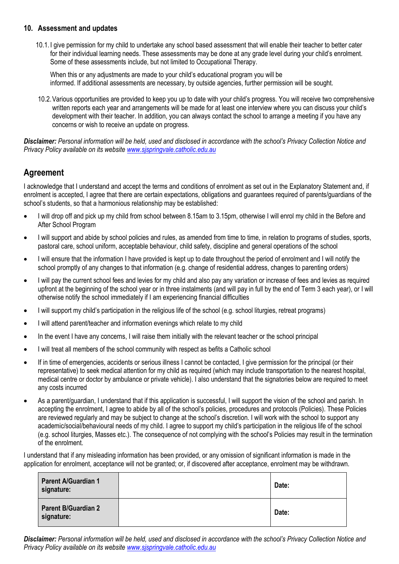### **10. Assessment and updates**

10.1. I give permission for my child to undertake any school based assessment that will enable their teacher to better cater for their individual learning needs. These assessments may be done at any grade level during your child's enrolment. Some of these assessments include, but not limited to Occupational Therapy.

When this or any adjustments are made to your child's educational program you will be informed. If additional assessments are necessary, by outside agencies, further permission will be sought.

10.2.Various opportunities are provided to keep you up to date with your child's progress. You will receive two comprehensive written reports each year and arrangements will be made for at least one interview where you can discuss your child's development with their teacher. In addition, you can always contact the school to arrange a meeting if you have any concerns or wish to receive an update on progress.

*Disclaimer: Personal information will be held, used and disclosed in accordance with the school's Privacy Collection Notice and Privacy Policy available on its website [www.sjspringvale.catholic.edu.au](http://www.sjspringvale.catholic.edu.au/)*

## **Agreement**

I acknowledge that I understand and accept the terms and conditions of enrolment as set out in the Explanatory Statement and, if enrolment is accepted, I agree that there are certain expectations, obligations and guarantees required of parents/guardians of the school's students, so that a harmonious relationship may be established:

- I will drop off and pick up my child from school between 8.15am to 3.15pm, otherwise I will enrol my child in the Before and After School Program
- I will support and abide by school policies and rules, as amended from time to time, in relation to programs of studies, sports, pastoral care, school uniform, acceptable behaviour, child safety, discipline and general operations of the school
- I will ensure that the information I have provided is kept up to date throughout the period of enrolment and I will notify the school promptly of any changes to that information (e.g. change of residential address, changes to parenting orders)
- I will pay the current school fees and levies for my child and also pay any variation or increase of fees and levies as required upfront at the beginning of the school year or in three instalments (and will pay in full by the end of Term 3 each year), or I will otherwise notify the school immediately if I am experiencing financial difficulties
- I will support my child's participation in the religious life of the school (e.g. school liturgies, retreat programs)
- I will attend parent/teacher and information evenings which relate to my child
- In the event I have any concerns, I will raise them initially with the relevant teacher or the school principal
- I will treat all members of the school community with respect as befits a Catholic school
- If in time of emergencies, accidents or serious illness I cannot be contacted, I give permission for the principal (or their representative) to seek medical attention for my child as required (which may include transportation to the nearest hospital, medical centre or doctor by ambulance or private vehicle). I also understand that the signatories below are required to meet any costs incurred
- As a parent/guardian, I understand that if this application is successful, I will support the vision of the school and parish. In accepting the enrolment, I agree to abide by all of the school's policies, procedures and protocols (Policies). These Policies are reviewed regularly and may be subject to change at the school's discretion. I will work with the school to support any academic/social/behavioural needs of my child. I agree to support my child's participation in the religious life of the school (e.g. school liturgies, Masses etc.). The consequence of not complying with the school's Policies may result in the termination of the enrolment.

I understand that if any misleading information has been provided, or any omission of significant information is made in the application for enrolment, acceptance will not be granted; or, if discovered after acceptance, enrolment may be withdrawn.

| <b>Parent A/Guardian 1</b><br>signature: | Date: |
|------------------------------------------|-------|
| <b>Parent B/Guardian 2</b><br>signature: | Date: |

*Disclaimer: Personal information will be held, used and disclosed in accordance with the school's Privacy Collection Notice and Privacy Policy available on its website [www.sjspringvale.catholic.edu.au](http://www.sjspringvale.catholic.edu.au/)*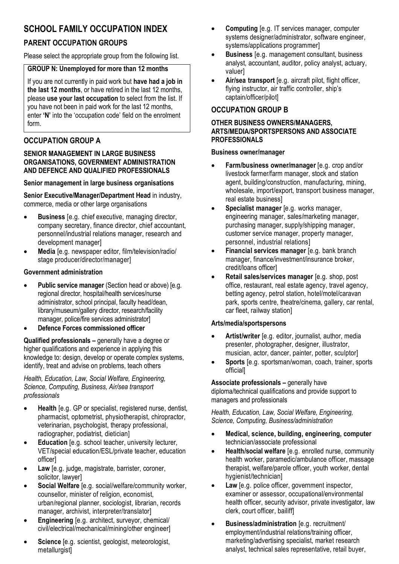## **SCHOOL FAMILY OCCUPATION INDEX**

## **PARENT OCCUPATION GROUPS**

Please select the appropriate group from the following list.

## **GROUP N: Unemployed for more than 12 months**

If you are not currently in paid work but **have had a job in the last 12 months**, or have retired in the last 12 months, please **use your last occupation** to select from the list. If you have not been in paid work for the last 12 months, enter **'N'** into the 'occupation code' field on the enrolment form.

## **OCCUPATION GROUP A**

### **SENIOR MANAGEMENT IN LARGE BUSINESS ORGANISATIONS, GOVERNMENT ADMINISTRATION AND DEFENCE AND QUALIFIED PROFESSIONALS**

## **Senior management in large business organisations**

**Senior Executive/Manager/Department Head** in industry, commerce, media or other large organisations

- **Business** [e.g. chief executive, managing director, company secretary, finance director, chief accountant, personnel/industrial relations manager, research and development manager]
- **Media** [e.g. newspaper editor, film/television/radio/ stage producer/director/manager]

## **Government administration**

- **Public service manager** (Section head or above) [e.g. regional director, hospital/health services/nurse administrator, school principal, faculty head/dean, library/museum/gallery director, research/facility manager, police/fire services administrator]
- **Defence Forces commissioned officer**

**Qualified professionals –** generally have a degree or higher qualifications and experience in applying this knowledge to: design, develop or operate complex systems, identify, treat and advise on problems, teach others

*Health, Education, Law, Social Welfare, Engineering, Science, Computing, Business, Air/sea transport professionals*

- **Health** [e.g. GP or specialist, registered nurse, dentist, pharmacist, optometrist, physiotherapist, chiropractor, veterinarian, psychologist, therapy professional, radiographer, podiatrist, dietician]
- **Education** [e.g. school teacher, university lecturer, VET/special education/ESL/private teacher, education officer]
- **Law** [e.g. judge, magistrate, barrister, coroner, solicitor, lawyer]
- **Social Welfare** [e.g. social/welfare/community worker, counsellor, minister of religion, economist, urban/regional planner, sociologist, librarian, records manager, archivist, interpreter/translator]
- **Engineering** [e.g. architect, surveyor, chemical/ civil/electrical/mechanical/mining/other engineer]
- **Science** [e.g. scientist, geologist, meteorologist, metallurgist]
- **Computing** [e.g. IT services manager, computer systems designer/administrator, software engineer, systems/applications programmer]
- **Business** [e.g. management consultant, business analyst, accountant, auditor, policy analyst, actuary, valuer]
- **Air/sea transport** [e.g. aircraft pilot, flight officer, flying instructor, air traffic controller, ship's captain/officer/pilot]

## **OCCUPATION GROUP B**

### **OTHER BUSINESS OWNERS/MANAGERS, ARTS/MEDIA/SPORTSPERSONS AND ASSOCIATE PROFESSIONALS**

## **Business owner/manager**

- **Farm/business owner/manager** [e.g. crop and/or livestock farmer/farm manager, stock and station agent, building/construction, manufacturing, mining, wholesale, import/export, transport business manager, real estate business]
- **Specialist manager** [e.g. works manager, engineering manager, sales/marketing manager, purchasing manager, supply/shipping manager, customer service manager, property manager, personnel, industrial relations]
- **Financial services manager** [e.g. bank branch manager, finance/investment/insurance broker, credit/loans officer]
- **Retail sales/services manager** [e.g. shop, post office, restaurant, real estate agency, travel agency, betting agency, petrol station, hotel/motel/caravan park, sports centre, theatre/cinema, gallery, car rental, car fleet, railway station]

## **Arts/media/sportspersons**

- **Artist/writer** [e.g. editor, journalist, author, media presenter, photographer, designer, illustrator, musician, actor, dancer, painter, potter, sculptor]
- **Sports** [e.g. sportsman/woman, coach, trainer, sports official]

**Associate professionals –** generally have diploma/technical qualifications and provide support to managers and professionals

*Health, Education, Law, Social Welfare, Engineering, Science, Computing, Business/administration*

- **Medical, science, building, engineering, computer**  technician/associate professional
- **Health/social welfare** [e.g. enrolled nurse, community health worker, paramedic/ambulance officer, massage therapist, welfare/parole officer, youth worker, dental hygienist/technician]
- Law [e.g. police officer, government inspector, examiner or assessor, occupational/environmental health officer, security advisor, private investigator, law clerk, court officer, bailiff]
- **Business/administration** [e.g. recruitment/ employment/industrial relations/training officer, marketing/advertising specialist, market research analyst, technical sales representative, retail buyer,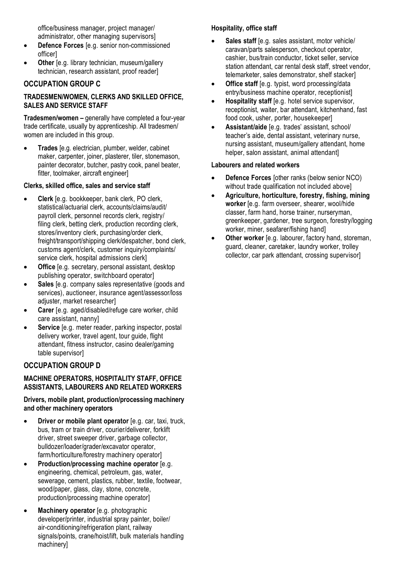office/business manager, project manager/ administrator, other managing supervisors]

- **Defence Forces** [e.g. senior non-commissioned officer]
- **Other** [e.g. library technician, museum/gallery technician, research assistant, proof reader]

### **OCCUPATION GROUP C**

### **TRADESMEN/WOMEN, CLERKS AND SKILLED OFFICE, SALES AND SERVICE STAFF**

**Tradesmen/women –** generally have completed a four-year trade certificate, usually by apprenticeship. All tradesmen/ women are included in this group.

 **Trades** [e.g. electrician, plumber, welder, cabinet maker, carpenter, joiner, plasterer, tiler, stonemason, painter decorator, butcher, pastry cook, panel beater, fitter, toolmaker, aircraft engineer]

### **Clerks, skilled office, sales and service staff**

- **Clerk** [e.g. bookkeeper, bank clerk, PO clerk, statistical/actuarial clerk, accounts/claims/audit/ payroll clerk, personnel records clerk, registry/ filing clerk, betting clerk, production recording clerk, stores/inventory clerk, purchasing/order clerk, freight/transport/shipping clerk/despatcher, bond clerk, customs agent/clerk, customer inquiry/complaints/ service clerk, hospital admissions clerk]
- **Office** [e.g. secretary, personal assistant, desktop] publishing operator, switchboard operator]
- **Sales** [e.g. company sales representative (goods and services), auctioneer, insurance agent/assessor/loss adjuster, market researcher]
- **Carer** [e.g. aged/disabled/refuge care worker, child care assistant, nanny]
- **Service** [e.g. meter reader, parking inspector, postal delivery worker, travel agent, tour guide, flight attendant, fitness instructor, casino dealer/gaming table supervisor]

### **OCCUPATION GROUP D**

### **MACHINE OPERATORS, HOSPITALITY STAFF, OFFICE ASSISTANTS, LABOURERS AND RELATED WORKERS**

### **Drivers, mobile plant, production/processing machinery and other machinery operators**

- **Driver or mobile plant operator** [e.g. car, taxi, truck, bus, tram or train driver, courier/deliverer, forklift driver, street sweeper driver, garbage collector, bulldozer/loader/grader/excavator operator, farm/horticulture/forestry machinery operator]
- **Production/processing machine operator** [e.g. engineering, chemical, petroleum, gas, water, sewerage, cement, plastics, rubber, textile, footwear, wood/paper, glass, clay, stone, concrete, production/processing machine operator]
- **Machinery operator** [e.g. photographic developer/printer, industrial spray painter, boiler/ air-conditioning/refrigeration plant, railway signals/points, crane/hoist/lift, bulk materials handling machinery]

### **Hospitality, office staff**

- **Sales staff** [e.g. sales assistant, motor vehicle/ caravan/parts salesperson, checkout operator, cashier, bus/train conductor, ticket seller, service station attendant, car rental desk staff, street vendor, telemarketer, sales demonstrator, shelf stacker]
- **Office staff** [e.g. typist, word processing/data entry/business machine operator, receptionist]
- **Hospitality staff** [e.g. hotel service supervisor, receptionist, waiter, bar attendant, kitchenhand, fast food cook, usher, porter, housekeeper]
- **Assistant/aide** [e.g. trades' assistant, school/ teacher's aide, dental assistant, veterinary nurse, nursing assistant, museum/gallery attendant, home helper, salon assistant, animal attendant]

### **Labourers and related workers**

- **Defence Forces** [other ranks (below senior NCO) without trade qualification not included above]
- **Agriculture, horticulture, forestry, fishing, mining worker** [e.g. farm overseer, shearer, wool/hide classer, farm hand, horse trainer, nurseryman, greenkeeper, gardener, tree surgeon, forestry/logging worker, miner, seafarer/fishing hand]
- **Other worker** [e.g. labourer, factory hand, storeman, guard, cleaner, caretaker, laundry worker, trolley collector, car park attendant, crossing supervisor]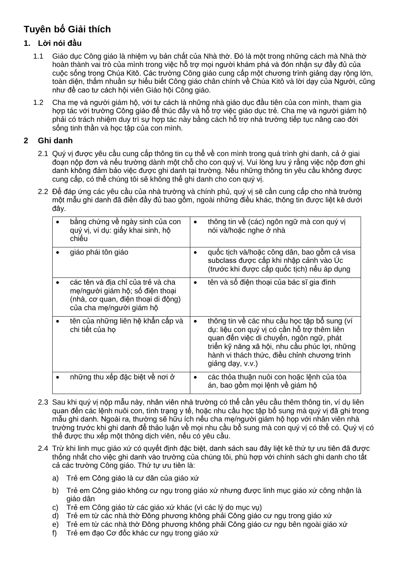# **Tuyên bố Giải thích**

## **1. Lời nói đầu**

- 1.1 Giáo dục Công giáo là nhiệm vụ bản chất của Nhà thờ. Đó là một trong những cách mà Nhà thờ hoàn thành vai trò của mình trong việc hỗ trợ mọi người khám phá và đón nhận sự đầy đủ của cuộc sống trong Chúa Kitô. Các trường Công giáo cung cấp một chương trình giảng dạy rộng lớn, toàn diện, thấm nhuần sự hiểu biết Công giáo chân chính về Chúa Kitô và lời dạy của Người, cũng như đề cao tư cách hội viên Giáo hội Công giáo.
- 1.2 Cha mẹ và người giám hộ, với tư cách là những nhà giáo dục đầu tiên của con mình, tham gia hợp tác với trường Công giáo để thúc đẩy và hỗ trợ việc giáo dục trẻ. Cha mẹ và người giám hộ phải có trách nhiệm duy trì sự hợp tác này bằng cách hỗ trợ nhà trường tiếp tục nâng cao đời sống tinh thần và học tập của con mình.

## **2 Ghi danh**

- 2.1 Quý vị được yêu cầu cung cấp thông tin cụ thể về con mình trong quá trình ghi danh, cả ở giai đoạn nộp đơn và nếu trường dành một chỗ cho con quý vị. Vui lòng lưu ý rằng việc nộp đơn ghi danh không đảm bảo việc được ghi danh tại trường. Nếu những thông tin yêu cầu không được cung cấp, có thể chúng tôi sẽ không thể ghi danh cho con quý vị.
- 2.2 Để đáp ứng các yêu cầu của nhà trường và chính phủ, quý vị sẽ cần cung cấp cho nhà trường một mẫu ghi danh đã điền đầy đủ bao gồm, ngoài những điều khác, thông tin được liệt kê dưới đây.

| bằng chứng về ngày sinh của con<br>quý vị, ví dụ: giấy khai sinh, hộ<br>chiếu                                                          | $\bullet$ | thông tin về (các) ngôn ngữ mà con quý vị<br>nói và/hoặc nghe ở nhà                                                                                                                                                                                        |
|----------------------------------------------------------------------------------------------------------------------------------------|-----------|------------------------------------------------------------------------------------------------------------------------------------------------------------------------------------------------------------------------------------------------------------|
| giáo phái tôn giáo                                                                                                                     |           | quốc tịch và/hoặc công dân, bao gồm cả visa<br>subclass được cấp khi nhập cảnh vào Úc<br>(trước khi được cấp quốc tịch) nếu áp dụng                                                                                                                        |
| các tên và địa chỉ của trẻ và cha<br>mẹ/người giám hộ; số điện thoại<br>(nhà, cơ quan, điện thoại di động)<br>của cha mẹ/người giám hộ | ٠         | tên và số điện thoại của bác sĩ gia đình                                                                                                                                                                                                                   |
| tên của những liên hệ khẩn cấp và<br>chi tiết của họ                                                                                   | $\bullet$ | thông tin về các nhu cầu học tập bố sung (ví<br>dụ: liệu con quý vị có cần hỗ trợ thêm liên<br>quan đến việc di chuyển, ngôn ngữ, phát<br>triển kỹ năng xã hội, nhu cầu phúc lợi, những<br>hành vi thách thức, điều chỉnh chương trình<br>giảng dạy, v.v.) |
| những thu xếp đặc biệt về nơi ở                                                                                                        |           | các thỏa thuận nuôi con hoặc lệnh của tòa<br>án, bao gồm mọi lệnh về giám hộ                                                                                                                                                                               |

- 2.3 Sau khi quý vị nộp mẫu này, nhân viên nhà trường có thể cần yêu cầu thêm thông tin, ví dụ liên quan đến các lệnh nuôi con, tình trạng y tế, hoặc nhu cầu học tập bổ sung mà quý vị đã ghi trong mẫu ghi danh. Ngoài ra, thường sẽ hữu ích nếu cha mẹ/người giám hộ họp với nhân viên nhà trường trước khi ghi danh để thảo luận về mọi nhu cầu bổ sung mà con quý vị có thể có. Quý vị có thể được thu xếp một thông dịch viên, nếu có yêu cầu.
- 2.4 Trừ khi linh mục giáo xứ có quyết định đặc biệt, danh sách sau đây liệt kê thứ tự ưu tiên đã được thống nhất cho việc ghi danh vào trường của chúng tôi, phù hợp với chính sách ghi danh cho tất cả các trường Công giáo. Thứ tự ưu tiên là:
	- a) Trẻ em Công giáo là cư dân của giáo xứ
	- b) Trẻ em Công giáo không cư ngụ trong giáo xứ nhưng được linh mục giáo xứ công nhận là giáo dân
	- c) Trẻ em Công giáo từ các giáo xứ khác (vì các lý do mục vụ)
	- d) Trẻ em từ các nhà thờ Đông phương không phải Công giáo cư ngụ trong giáo xứ
	- e) Trẻ em từ các nhà thờ Đông phương không phải Công giáo cư ngụ bên ngoài giáo xứ
	- f) Trẻ em đạo Cơ đốc khác cư ngụ trong giáo xứ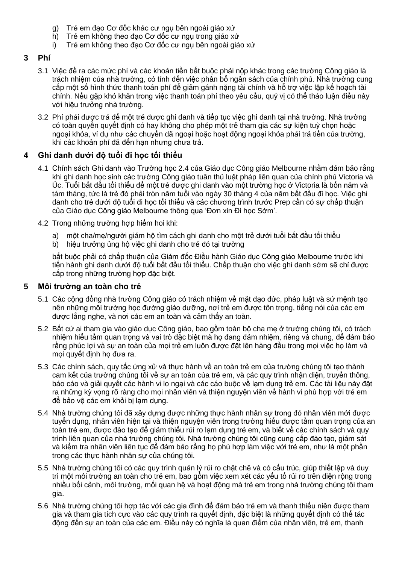- g) Trẻ em đạo Cơ đốc khác cư ngụ bên ngoài giáo xứ
- h) Trẻ em không theo đạo Cơ đốc cư ngụ trong giáo xứ
- i) Trẻ em không theo đạo Cơ đốc cư ngụ bên ngoài giáo xứ

### **3 Phí**

- 3.1 Việc đề ra các mức phí và các khoản tiền bắt buộc phải nộp khác trong các trường Công giáo là trách nhiệm của nhà trường, có tính đến việc phân bổ ngân sách của chính phủ. Nhà trường cung cấp một số hình thức thanh toán phí để giảm gánh nặng tài chính và hỗ trợ việc lập kế hoạch tài chính. Nếu gặp khó khăn trong việc thanh toán phí theo yêu cầu, quý vị có thể thảo luận điều này với hiệu trưởng nhà trường.
- 3.2 Phí phải được trả để một trẻ được ghi danh và tiếp tục việc ghi danh tại nhà trường. Nhà trường có toàn quyền quyết định có hay không cho phép một trẻ tham gia các sự kiện tuỳ chọn hoặc ngoại khóa, ví dụ như các chuyến dã ngoại hoặc hoạt động ngoại khóa phải trả tiền của trường, khi các khoản phí đã đến hạn nhưng chưa trả.

## **4 Ghi danh dưới độ tuổi đi học tối thiểu**

- 4.1 Chính sách Ghi danh vào Trường học 2.4 của Giáo dục Công giáo Melbourne nhằm đảm bảo rằng khi ghi danh học sinh các trường Công giáo tuân thủ luật pháp liên quan của chính phủ Victoria và Úc. Tuổi bắt đầu tối thiểu để một trẻ được ghi danh vào một trường học ở Victoria là bốn năm và tám tháng, tức là trẻ đó phải tròn năm tuổi vào ngày 30 tháng 4 của năm bắt đầu đi học. Việc ghi danh cho trẻ dưới độ tuổi đi học tối thiểu và các chương trình trước Prep cần có sự chấp thuận của Giáo dục Công giáo Melbourne thông qua 'Đơn xin Đi học Sớm'.
- 4.2 Trong những trường hợp hiếm hoi khi:
	- a) một cha/mẹ/người giám hộ tìm cách ghi danh cho một trẻ dưới tuổi bắt đầu tối thiểu
	- b) hiệu trưởng ủng hộ việc ghi danh cho trẻ đó tại trường

bắt buộc phải có chấp thuận của Giám đốc Điều hành Giáo dục Công giáo Melbourne trước khi tiến hành ghi danh dưới độ tuổi bắt đầu tối thiểu. Chấp thuận cho việc ghi danh sớm sẽ chỉ được cấp trong những trường hợp đặc biệt.

### **5 Môi trường an toàn cho trẻ**

- 5.1 Các cộng đồng nhà trường Công giáo có trách nhiệm về mặt đạo đức, pháp luật và sứ mệnh tạo nên những môi trường học đường giáo dưỡng, nơi trẻ em được tôn trọng, tiếng nói của các em được lắng nghe, và nơi các em an toàn và cảm thấy an toàn.
- 5.2 Bất cứ ai tham gia vào giáo dục Công giáo, bao gồm toàn bộ cha mẹ ở trường chúng tôi, có trách nhiệm hiểu tầm quan trọng và vai trò đặc biệt mà họ đang đảm nhiệm, riêng và chung, để đảm bảo rằng phúc lợi và sự an toàn của mọi trẻ em luôn được đặt lên hàng đầu trong mọi việc họ làm và mọi quyết định họ đưa ra.
- 5.3 Các chính sách, quy tắc ứng xử và thực hành về an toàn trẻ em của trường chúng tôi tạo thành cam kết của trường chúng tôi về sự an toàn của trẻ em, và các quy trình nhận diện, truyền thông, báo cáo và giải quyết các hành vi lo ngại và các cáo buộc về lạm dụng trẻ em. Các tài liệu này đặt ra những kỳ vong rõ ràng cho mọi nhân viên và thiên nguyên viên về hành vi phù hợp với trẻ em để bảo vệ các em khỏi bị lạm dụng.
- 5.4 Nhà trường chúng tôi đã xây dựng được những thực hành nhân sự trong đó nhân viên mới được tuyển dụng, nhân viên hiện tại và thiện nguyện viên trong trường hiểu được tầm quan trọng của an toàn trẻ em, được đào tạo để giảm thiểu rủi ro lạm dụng trẻ em, và biết về các chính sách và quy trình liên quan của nhà trường chúng tôi. Nhà trường chúng tôi cũng cung cấp đào tạo, giám sát và kiểm tra nhân viên liên tục để đảm bảo rằng họ phù hợp làm việc với trẻ em, như là một phần trong các thực hành nhân sự của chúng tôi.
- 5.5 Nhà trường chúng tôi có các quy trình quản lý rủi ro chặt chẽ và có cấu trúc, giúp thiết lập và duy trì một môi trường an toàn cho trẻ em, bao gồm việc xem xét các yếu tố rủi ro trên diện rộng trong nhiều bối cảnh, môi trường, mối quan hệ và hoạt động mà trẻ em trong nhà trường chúng tôi tham gia.
- 5.6 Nhà trường chúng tôi hợp tác với các gia đình để đảm bảo trẻ em và thanh thiếu niên được tham gia và tham gia tích cực vào các quy trình ra quyết định, đặc biệt là những quyết định có thể tác động đến sự an toàn của các em. Điều này có nghĩa là quan điểm của nhân viên, trẻ em, thanh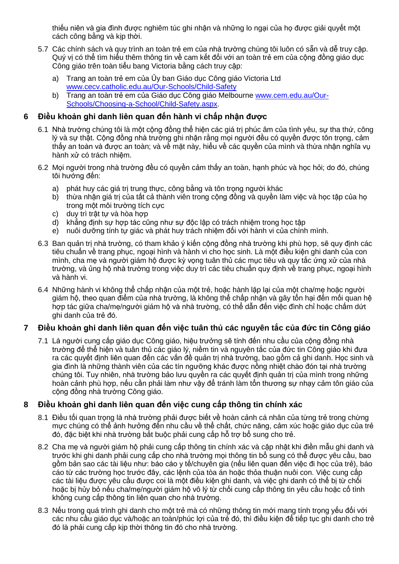thiếu niên và gia đình được nghiêm túc ghi nhận và những lo ngại của họ được giải quyết một cách công bằng và kịp thời.

- 5.7 Các chính sách và quy trình an toàn trẻ em của nhà trường chúng tôi luôn có sẵn và dễ truy cập. Quý vị có thể tìm hiểu thêm thông tin về cam kết đối với an toàn trẻ em của cộng đồng giáo dục Công giáo trên toàn tiểu bang Victoria bằng cách truy cập:
	- a) Trang an toàn trẻ em của Ủy ban Giáo dục Công giáo Victoria Ltd [www.cecv.catholic.edu.au/Our-Schools/Child-Safety](http://www.cecv.catholic.edu.au/Our-Schools/Child-Safety)
	- b) Trang an toàn trẻ em của Giáo dục Công giáo Melbourne [www.cem.edu.au/Our-](https://www.cem.edu.au/Our-Schools/Choosing-a-School/Child-Safety.aspx)[Schools/Choosing-a-School/Child-Safety.aspx.](https://www.cem.edu.au/Our-Schools/Choosing-a-School/Child-Safety.aspx)

### **6 Điều khoản ghi danh liên quan đến hành vi chấp nhận được**

- 6.1 Nhà trường chúng tôi là một cộng đồng thể hiện các giá trị phúc âm của tình yêu, sự tha thứ, công lý và sự thật. Công đồng nhà trường ghi nhận rằng mọi người đều có quyền được tôn trong, cảm thấy an toàn và được an toàn; và về mặt này, hiểu về các quyền của mình và thừa nhân nghĩa vu hành xử có trách nhiệm.
- 6.2 Mọi người trong nhà trường đều có quyền cảm thấy an toàn, hạnh phúc và học hỏi; do đó, chúng tôi hướng đến:
	- a) phát huy các giá trị trung thực, công bằng và tôn trong người khác
	- b) thừa nhân giá trị của tất cả thành viên trong công đồng và quyền làm việc và học tập của họ trong một môi trường tích cực
	- c) duy trì trật tự và hòa hợp
	- d) khẳng định sự hợp tác cũng như sự độc lập có trách nhiệm trong học tập
	- e) nuôi dưỡng tính tự giác và phát huy trách nhiệm đối với hành vi của chính mình.
- 6.3 Ban quản trị nhà trường, có tham khảo ý kiến cộng đồng nhà trường khi phù hợp, sẽ quy định các tiêu chuẩn về trang phục, ngoại hình và hành vi cho học sinh. Là một điều kiện ghi danh của con mình, cha mẹ và người giám hộ được kỳ vọng tuân thủ các mục tiêu và quy tắc ứng xử của nhà trường, và ủng hộ nhà trường trong việc duy trì các tiêu chuẩn quy định về trang phục, ngoại hình và hành vi.
- 6.4 Những hành vi không thể chấp nhận của một trẻ, hoặc hành lặp lại của một cha/mẹ hoặc người giám hộ, theo quan điểm của nhà trường, là không thể chấp nhận và gây tổn hại đến mối quan hệ hợp tác giữa cha/me/người giám hô và nhà trường, có thể dẫn đến việc đình chỉ hoặc chấm dứt ghi danh của trẻ đó.

## **7 Điều khoản ghi danh liên quan đến việc tuân thủ các nguyên tắc của đức tin Công giáo**

7.1 Là người cung cấp giáo dục Công giáo, hiệu trưởng sẽ tính đến nhu cầu của cộng đồng nhà trường để thể hiện và tuân thủ các giáo lý, niềm tin và nguyên tắc của đức tin Công giáo khi đưa ra các quyết định liên quan đến các vấn đề quản trị nhà trường, bao gồm cả ghi danh. Học sinh và gia đình là những thành viên của các tín ngưỡng khác được nồng nhiệt chào đón tại nhà trường chúng tôi. Tuy nhiên, nhà trường bảo lưu quyền ra các quyết định quản trị của mình trong những hoàn cảnh phù hợp, nếu cần phải làm như vậy để tránh làm tổn thương sự nhạy cảm tôn giáo của cộng đồng nhà trường Công giáo.

## **8 Điều khoản ghi danh liên quan đến việc cung cấp thông tin chính xác**

- 8.1 Điều tối quan trọng là nhà trường phải được biết về hoàn cảnh cá nhân của từng trẻ trong chừng mực chúng có thể ảnh hưởng đến nhu cầu về thể chất, chức năng, cảm xúc hoặc giáo dục của trẻ đó, đặc biệt khi nhà trường bắt buộc phải cung cấp hỗ trợ bổ sung cho trẻ.
- 8.2 Cha mẹ và người giám hộ phải cung cấp thông tin chính xác và cập nhật khi điền mẫu ghi danh và trước khi ghi danh phải cung cấp cho nhà trường mọi thông tin bổ sung có thể được yêu cầu, bao gồm bản sao các tài liệu như: báo cáo y tế/chuyên gia (nếu liên quan đến việc đi học của trẻ), báo cáo từ các trường học trước đây, các lệnh của tòa án hoặc thỏa thuận nuôi con. Việc cung cấp các tài liệu được yêu cầu được coi là một điều kiện ghi danh, và việc ghi danh có thể bị từ chối hoặc bị hủy bỏ nếu cha/mẹ/người giám hộ vô lý từ chối cung cấp thông tin yêu cầu hoặc cố tình không cung cấp thông tin liên quan cho nhà trường.
- 8.3 Nếu trong quá trình ghi danh cho một trẻ mà có những thông tin mới mang tính trọng yếu đối với các nhu cầu giáo dục và/hoặc an toàn/phúc lợi của trẻ đó, thì điều kiện để tiếp tục ghi danh cho trẻ đó là phải cung cấp kịp thời thông tin đó cho nhà trường.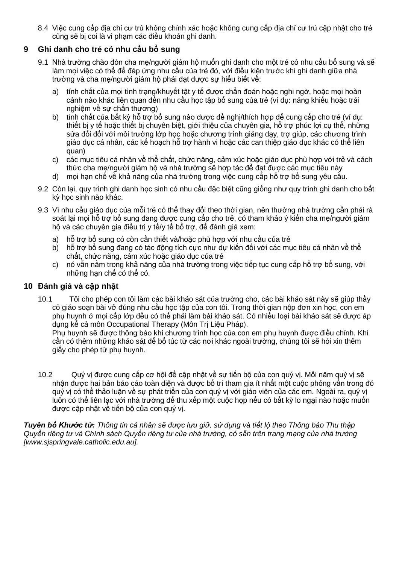8.4 Việc cung cấp địa chỉ cư trú không chính xác hoặc không cung cấp địa chỉ cư trú cập nhật cho trẻ cũng sẽ bị coi là vi phạm các điều khoản ghi danh.

### **9 Ghi danh cho trẻ có nhu cầu bổ sung**

- 9.1 Nhà trường chào đón cha mẹ/người giám hộ muốn ghi danh cho một trẻ có nhu cầu bổ sung và sẽ làm mọi việc có thể để đáp ứng nhu cầu của trẻ đó, với điều kiện trước khi ghi danh giữa nhà trường và cha mẹ/người giám hộ phải đạt được sự hiểu biết về:
	- a) tính chất của mọi tình trạng/khuyết tật y tế được chẩn đoán hoặc nghi ngờ, hoặc mọi hoàn cảnh nào khác liên quan đến nhu cầu học tập bổ sung của trẻ (ví dụ: năng khiếu hoặc trải nghiệm về sự chấn thương)
	- b) tính chất của bất kỳ hỗ trợ bổ sung nào được đề nghị/thích hợp để cung cấp cho trẻ (ví dụ: thiết bị y tế hoặc thiết bị chuyên biệt, giới thiệu của chuyên gia, hỗ trợ phúc lợi cụ thể, những sửa đổi đối với môi trường lớp học hoặc chương trình giảng dạy, trợ giúp, các chương trình giáo dục cá nhân, các kế hoạch hỗ trợ hành vi hoặc các can thiệp giáo dục khác có thể liên quan)
	- c) các mục tiêu cá nhân về thế chất, chức năng, cảm xúc hoặc giáo dục phù hợp với trẻ và cách thức cha mẹ/người giám hộ và nhà trường sẽ hợp tác để đạt được các mục tiêu này
	- d) mọi hạn chế về khả năng của nhà trường trong việc cung cấp hỗ trợ bổ sung yêu cầu.
- 9.2 Còn lại, quy trình ghi danh học sinh có nhu cầu đặc biệt cũng giống như quy trình ghi danh cho bất kỳ học sinh nào khác.
- 9.3 Vì nhu cầu giáo dục của mỗi trẻ có thể thay đổi theo thời gian, nên thường nhà trường cần phải rà soát lại mọi hỗ trợ bổ sung đang được cung cấp cho trẻ, có tham khảo ý kiến cha me/người giám hộ và các chuyên gia điều trị y tế/y tế bổ trợ, để đánh giá xem:
	- a) hỗ trợ bổ sung có còn cần thiết và/hoặc phù hợp với nhu cầu của trẻ
	- b) hỗ trợ bổ sung đang có tác động tích cực như dự kiến đối với các mục tiêu cá nhân về thể chất, chức năng, cảm xúc hoặc giáo dục của trẻ
	- c) nó vẫn nằm trong khả năng của nhà trường trong việc tiếp tục cung cấp hỗ trợ bổ sung, với những hạn chế có thể có.

### **10 Đánh giá và cập nhật**

10.1 Tôi cho phép con tôi làm các bài khảo sát của trường cho, các bài khảo sát này sẽ giúp thầy cô giáo soạn bài vở đúng nhu cầu học tập của con tôi. Trong thời gian nộp đơn xin học, con em phụ huynh ở mọi cấp lớp đều có thể phải làm bài khảo sát. Có nhiều loại bài khảo sát sẽ được áp dụng kể cả môn Occupational Therapy (Môn Trị Liệu Pháp).

Phụ huynh sẽ được thông báo khi chương trình học của con em phụ huynh được điều chỉnh. Khi cần có thêm những khảo sát để bổ túc từ các nơi khác ngoài trường, chúng tôi sẽ hỏi xin thêm giấy cho phép từ phụ huynh.

10.2 Quý vị được cung cấp cơ hội để cập nhật về sự tiến bộ của con quý vị. Mỗi năm quý vị sẽ nhận được hai bản báo cáo toàn diện và được bố trí tham gia ít nhất một cuộc phỏng vấn trong đó quý vị có thể thảo luận về sự phát triển của con quý vị với giáo viên của các em. Ngoài ra, quý vị luôn có thể liên lạc với nhà trường để thu xếp một cuộc họp nếu có bất kỳ lo ngại nào hoặc muốn được cập nhật về tiến bộ của con quý vị.

*Tuyên bố Khước từ: Thông tin cá nhân sẽ được lưu giữ, sử dụng và tiết lộ theo Thông báo Thu thập Quyền riêng tư và Chính sách Quyền riêng tư của nhà trường, có sẵn trên trang mạng của nhà trường [www.sjspringvale.catholic.edu.au].*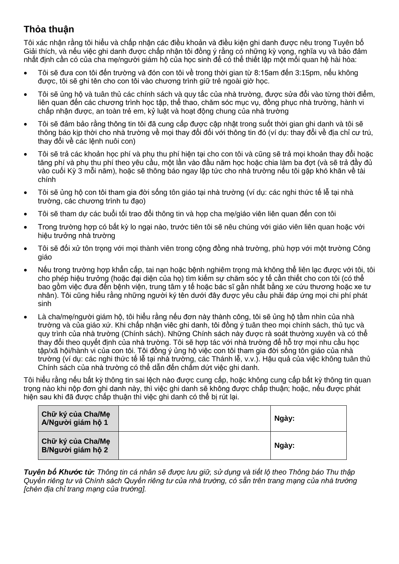# **Thỏa thuận**

Tôi xác nhận rằng tôi hiểu và chấp nhận các điều khoản và điều kiện ghi danh được nêu trong Tuyên bố Giải thích, và nếu việc ghi danh được chấp nhận tôi đồng ý rằng có những kỳ vọng, nghĩa vụ và bảo đảm nhất định cần có của cha mẹ/người giám hộ của học sinh để có thể thiết lập một mối quan hệ hài hòa:

- Tôi sẽ đưa con tôi đến trường và đón con tôi về trong thời gian từ 8:15am đến 3:15pm, nếu không được, tôi sẽ ghi tên cho con tôi vào chương trình giữ trẻ ngoài giờ học.
- Tôi sẽ ủng hộ và tuân thủ các chính sách và quy tắc của nhà trường, được sửa đổi vào từng thời điểm, liên quan đến các chương trình học tập, thể thao, chăm sóc mục vụ, đồng phục nhà trường, hành vi chấp nhận được, an toàn trẻ em, kỷ luật và hoạt động chung của nhà trường
- Tôi sẽ đảm bảo rằng thông tin tôi đã cung cấp được cập nhật trong suốt thời gian ghi danh và tôi sẽ thông báo kịp thời cho nhà trường về mọi thay đổi đối với thông tin đó (ví dụ: thay đổi về địa chỉ cư trú, thay đổi về các lệnh nuôi con)
- Tôi sẽ trả các khoản học phí và phụ thu phí hiện tại cho con tôi và cũng sẽ trả mọi khoản thay đổi hoặc tăng phí và phụ thụ phí theo yêu cầu, một lần vào đầu năm học hoặc chia làm ba đợt (và sẽ trả đầy đủ vào cuối Kỳ 3 mỗi năm), hoặc sẽ thông báo ngay lập tức cho nhà trường nếu tôi gặp khó khăn về tài chính
- Tôi sẽ ủng hộ con tôi tham gia đời sống tôn giáo tại nhà trường (ví dụ: các nghi thức tế lễ tại nhà trường, các chương trình tu đạo)
- Tôi sẽ tham dự các buổi tối trao đổi thông tin và họp cha mẹ/giáo viên liên quan đến con tôi
- Trong trường hợp có bất kỳ lo ngại nào, trước tiên tôi sẽ nêu chúng với giáo viên liên quan hoặc với hiệu trưởng nhà trường
- Tôi sẽ đối xử tôn trọng với mọi thành viên trong cộng đồng nhà trường, phù hợp với một trường Công giáo
- Nếu trong trường hợp khẩn cấp, tai nạn hoặc bệnh nghiêm trong mà không thể liên lạc được với tôi, tôi cho phép hiệu trưởng (hoặc đại diện của họ) tìm kiếm sự chăm sóc y tế cần thiết cho con tôi (có thể bao gồm việc đưa đến bệnh viện, trung tâm y tế hoặc bác sĩ gần nhất bằng xe cứu thương hoặc xe tư nhân). Tôi cũng hiểu rằng những người ký tên dưới đây được yêu cầu phải đáp ứng mọi chi phí phát sinh
- Là cha/mẹ/người giám hộ, tôi hiểu rằng nếu đơn này thành công, tôi sẽ ủng hộ tầm nhìn của nhà trường và của giáo xứ. Khi chấp nhận viêc ghi danh, tôi đồng ý tuân theo mọi chính sách, thủ tục và quy trình của nhà trường (Chính sách). Những Chính sách này được rà soát thường xuyên và có thể thay đổi theo quyết định của nhà trường. Tôi sẽ hợp tác với nhà trường để hỗ trợ mọi nhu cầu học tập/xã hội/hành vi của con tôi. Tôi đồng ý ủng hộ việc con tôi tham gia đời sống tôn giáo của nhà trường (ví dụ: các nghi thức tế lễ tại nhà trường, các Thánh lễ, v.v.). Hậu quả của việc không tuân thủ Chính sách của nhà trường có thể dẫn đến chấm dứt việc ghi danh.

Tôi hiểu rằng nếu bất kỳ thông tin sai lệch nào được cung cấp, hoặc không cung cấp bất kỳ thông tin quan trọng nào khi nộp đơn ghi danh này, thì việc ghi danh sẽ không được chấp thuận; hoặc, nếu được phát hiện sau khi đã được chấp thuận thì việc ghi danh có thể bị rút lại.

| Chữ ký của Cha/Mẹ<br>A/Người giám hộ 1 | Ngày: |
|----------------------------------------|-------|
| Chữ ký của Cha/Mẹ<br>B/Người giám hộ 2 | Ngày: |

*Tuyên bố Khước từ: Thông tin cá nhân sẽ được lưu giữ, sử dụng và tiết lộ theo Thông báo Thu thập Quyền riêng tư và Chính sách Quyền riêng tư của nhà trường, có sẵn trên trang mạng của nhà trường [chèn địa chỉ trang mạng của trường].*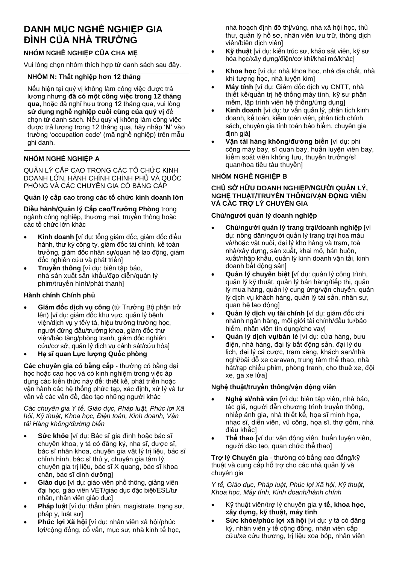## **DANH MỤC NGHỀ NGHIỆP GIA ĐÌNH CỦA NHÀ TRƯỜNG**

### **NHÓM NGHỀ NGHIỆP CỦA CHA MẸ**

Vui lòng chọn nhóm thích hợp từ danh sách sau đây.

### **NHÓM N: Thất nghiệp hơn 12 tháng**

Nếu hiện tại quý vị không làm công việc được trả lương nhưng **đã có một công việc trong 12 tháng qua**, hoặc đã nghỉ hưu trong 12 tháng qua, vui lòng **sử dụng nghề nghiệp cuối cùng của quý vị** để chọn từ danh sách. Nếu quý vị không làm công việc được trả lương trong 12 tháng qua, hãy nhập '**N'** vào trường 'occupation code' (mã nghề nghiệp) trên mẫu ghi danh.

### **NHÓM NGHỀ NGHIỆP A**

QUẢN LÝ CẤP CAO TRONG CÁC TỔ CHỨC KINH DOANH LỚN, HÀNH CHÍNH CHÍNH PHỦ VÀ QUỐC PHÒNG VÀ CÁC CHUYÊN GIA CÓ BẰNG CẤP

### **Quản lý cấp cao trong các tổ chức kinh doanh lớn**

**Điều hành/Quản lý Cấp cao/Trưởng Phòng** trong ngành công nghiệp, thương mại, truyền thông hoặc các tổ chức lớn khác

- **Kinh doanh** [ví dụ: tổng giám đốc, giám đốc điều hành, thư ký công ty, giám đốc tài chính, kế toán trưởng, giám đốc nhân sự/quan hệ lao động, giám đốc nghiên cứu và phát triển]
- **Truyền thông** [ví dụ: biên tập báo, nhà sản xuất sân khấu/đạo diễn/quản lý phim/truyền hình/phát thanh]

### **Hành chính Chính phủ**

- **Giám đốc dịch vụ công** (từ Trưởng Bộ phận trở lên) [ví dụ: giám đốc khu vực, quản lý bệnh viện/dịch vụ y tế/y tá, hiệu trưởng trường học, người đứng đầu/trưởng khoa, giám đốc thư viện/bảo tàng/phòng tranh, giám đốc nghiên cứu/cơ sở, quản lý dịch vụ cảnh sát/cứu hỏa]
- **Hạ sĩ quan Lực lượng Quốc phòng**

**Các chuyên gia có bằng cấp** - thường có bằng đại học hoặc cao học và có kinh nghiệm trong việc áp dụng các kiến thức này để: thiết kế, phát triển hoặc vận hành các hệ thống phức tạp, xác định, xử lý và tư vấn về các vấn đề, đào tạo những người khác

*Các chuyên gia Y tế, Giáo dục, Pháp luật, Phúc lợi Xã hội, Kỹ thuật, Khoa học, Điện toán, Kinh doanh, Vận tải Hàng không/đường biển*

- **Sức khỏe** [ví dụ: Bác sĩ gia đình hoặc bác sĩ chuyên khoa, y tá có đăng ký, nha sĩ, dược sĩ, bác sĩ nhãn khoa, chuyên gia vật lý trị liệu, bác sĩ chỉnh hình, bác sĩ thú y, chuyên gia tâm lý, chuyên gia trị liệu, bác sĩ X quang, bác sĩ khoa chân, bác sĩ dinh dưỡng]
- **Giáo dục** [ví dụ: giáo viên phổ thông, giảng viên đại học, giáo viên VET/giáo dục đặc biệt/ESL/tư nhân, nhân viên giáo dục]
- **Pháp luật** [ví dụ: thẩm phán, magistrate, trạng sư, pháp y, luật sư]
- **Phúc lợi Xã hội** [ví dụ: nhân viên xã hội/phúc lợi/cộng đồng, cố vấn, mục sư, nhà kinh tế học,

nhà hoạch định đô thị/vùng, nhà xã hội học, thủ thư, quản lý hồ sơ, nhân viên lưu trữ, thông dịch viên/biên dịch viên]

- **Kỹ thuật** [ví dụ: kiến trúc sư, khảo sát viên, kỹ sư hóa học/xây dựng/điện/cơ khí/khai mỏ/khác]
- **Khoa học** [ví dụ: nhà khoa học, nhà địa chất, nhà khí tượng học, nhà luyện kim]
- **Máy tính** [ví dụ: Giám đốc dịch vụ CNTT, nhà thiết kế/quản trị hệ thống máy tính, kỹ sư phần mềm, lập trình viên hệ thống/ứng dụng]
- **Kinh doanh** [ví dụ: tư vấn quản lý, phân tích kinh doanh, kế toán, kiểm toán viên, phân tích chính sách, chuyên gia tính toán bảo hiểm, chuyên gia định giá]
- **Vận tải hàng không/đường biển** [ví dụ: phi công máy bay, sĩ quan bay, huấn luyện viên bay, kiểm soát viên không lưu, thuyền trưởng/sĩ quan/hoa tiêu tàu thuyền]

### **NHÓM NGHỀ NGHIỆP B**

#### **CHỦ SỞ HỮU DOANH NGHIỆP/NGƯỜI QUẢN LÝ, NGHỆ THUẬT/TRUYỀN THÔNG/VẬN ĐỘNG VIÊN VÀ CÁC TRỢ LÝ CHUYÊN GIA**

### **Chủ/người quản lý doanh nghiệp**

- **Chủ/người quản lý trang trại/doanh nghiệp** [ví dụ: nông dân/người quản lý trang trại hoa màu và/hoặc vật nuôi, đại lý kho hàng và trạm, toà nhà/xây dựng, sản xuất, khai mỏ, bán buôn, xuất/nhập khẩu, quản lý kinh doanh vận tải, kinh doanh bất động sản]
- **Quản lý chuyên biệt** [ví dụ: quản lý công trình, quản lý kỹ thuật, quản lý bán hàng/tiếp thị, quản lý mua hàng, quản lý cung ứng/vận chuyển, quản lý dịch vụ khách hàng, quản lý tài sản, nhân sự, quan hệ lao đông]
- **Quản lý dịch vụ tài chính** [ví dụ: giám đốc chi nhánh ngân hàng, môi giới tài chính/đầu tư/bảo hiểm, nhân viên tín dung/cho vay]
- **Quản lý dịch vụ/bán lẻ** [ví dụ: cửa hàng, bưu điện, nhà hàng, đại lý bất động sản, đại lý du lịch, đại lý cá cược, trạm xăng, khách sạn/nhà nghỉ/bãi đỗ xe caravan, trung tâm thể thao, nhà hát/rạp chiếu phim, phòng tranh, cho thuê xe, đội xe, ga xe lửa]

### **Nghệ thuật/truyền thông/vận động viên**

- **Nghệ sĩ/nhà văn** [ví dụ: biên tập viên, nhà báo, tác giả, người dẫn chương trình truyền thông, nhiếp ảnh gia, nhà thiết kế, họa sĩ minh họa, nhạc sĩ, diễn viên, vũ công, họa sĩ, thợ gốm, nhà điêu khắc]
- **Thể thao** [ví dụ: vận động viên, huấn luyện viên, người đào tạo, quan chức thể thao]

**Trợ lý Chuyên gia** - thường có bằng cao đẳng/kỹ thuật và cung cấp hỗ trợ cho các nhà quản lý và chuyên gia

*Y tế, Giáo dục, Pháp luật, Phúc lợi Xã hội, Kỹ thuật, Khoa học, Máy tính, Kinh doanh/hành chính*

- Kỹ thuật viên/trợ lý chuyên gia **y tế, khoa học, xây dựng, kỹ thuật, máy tính**
- **Sức khỏe/phúc lợi xã hội** [ví dụ: y tá có đăng ký, nhân viên y tế cộng đồng, nhân viên cấp cứu/xe cứu thương, trị liệu xoa bóp, nhân viên